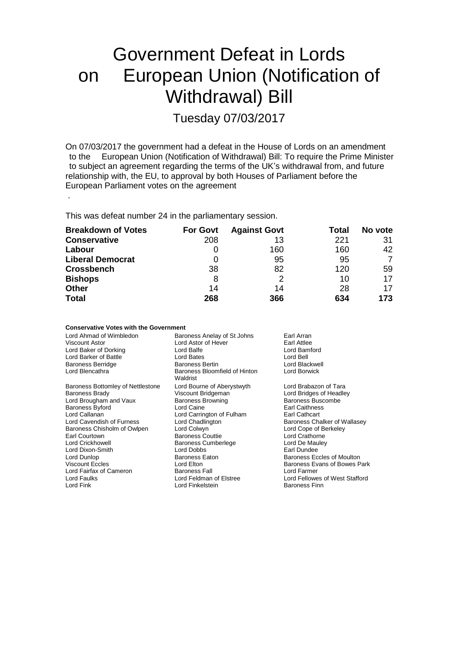# Government Defeat in Lords on European Union (Notification of Withdrawal) Bill

Tuesday 07/03/2017

On 07/03/2017 the government had a defeat in the House of Lords on an amendment to the European Union (Notification of Withdrawal) Bill: To require the Prime Ministe European Union (Notification of Withdrawal) Bill: To require the Prime Minister to subject an agreement regarding the terms of the UK's withdrawal from, and future relationship with, the EU, to approval by both Houses of Parliament before the European Parliament votes on the agreement

This was defeat number 24 in the parliamentary session.

.

| <b>Breakdown of Votes</b> | <b>For Govt</b> | <b>Against Govt</b> | Total | No vote |
|---------------------------|-----------------|---------------------|-------|---------|
| <b>Conservative</b>       | 208             | 13                  | 221   | 31      |
| Labour                    | 0               | 160                 | 160   | 42      |
| <b>Liberal Democrat</b>   | 0               | 95                  | 95    |         |
| <b>Crossbench</b>         | 38              | 82                  | 120   | 59      |
| <b>Bishops</b>            | 8               | 2                   | 10    | 17      |
| <b>Other</b>              | 14              | 14                  | 28    | 17      |
| <b>Total</b>              | 268             | 366                 | 634   | 173     |

| <b>Conservative Votes with the Government</b> |                                           |                                |  |
|-----------------------------------------------|-------------------------------------------|--------------------------------|--|
| Lord Ahmad of Wimbledon                       | Baroness Anelay of St Johns               | Earl Arran                     |  |
| Viscount Astor                                | Lord Astor of Hever                       | Earl Attlee                    |  |
| Lord Baker of Dorking                         | Lord Balfe                                | Lord Bamford                   |  |
| Lord Barker of Battle                         | Lord Bates                                | Lord Bell                      |  |
| <b>Baroness Berridge</b>                      | <b>Baroness Bertin</b>                    | Lord Blackwell                 |  |
| Lord Blencathra                               | Baroness Bloomfield of Hinton<br>Waldrist | Lord Borwick                   |  |
| Baroness Bottomley of Nettlestone             | Lord Bourne of Aberystwyth                | Lord Brabazon of Tara          |  |
| <b>Baroness Brady</b>                         | Viscount Bridgeman                        | Lord Bridges of Headley        |  |
| Lord Brougham and Vaux                        | <b>Baroness Browning</b>                  | Baroness Buscombe              |  |
| <b>Baroness Byford</b>                        | Lord Caine                                | Earl Caithness                 |  |
| Lord Callanan                                 | Lord Carrington of Fulham                 | Earl Cathcart                  |  |
| Lord Cavendish of Furness                     | Lord Chadlington                          | Baroness Chalker of Wallasey   |  |
| Baroness Chisholm of Owlpen                   | Lord Colwyn                               | Lord Cope of Berkeley          |  |
| Earl Courtown                                 | <b>Baroness Couttie</b>                   | Lord Crathorne                 |  |
| Lord Crickhowell                              | <b>Baroness Cumberlege</b>                | Lord De Mauley                 |  |
| Lord Dixon-Smith                              | Lord Dobbs                                | Earl Dundee                    |  |
| Lord Dunlop                                   | <b>Baroness Eaton</b>                     | Baroness Eccles of Moulton     |  |
| <b>Viscount Eccles</b>                        | Lord Elton                                | Baroness Evans of Bowes Park   |  |
| Lord Fairfax of Cameron                       | <b>Baroness Fall</b>                      | Lord Farmer                    |  |
| Lord Faulks                                   | Lord Feldman of Elstree                   | Lord Fellowes of West Stafford |  |
| Lord Fink                                     | Lord Finkelstein                          | <b>Baroness Finn</b>           |  |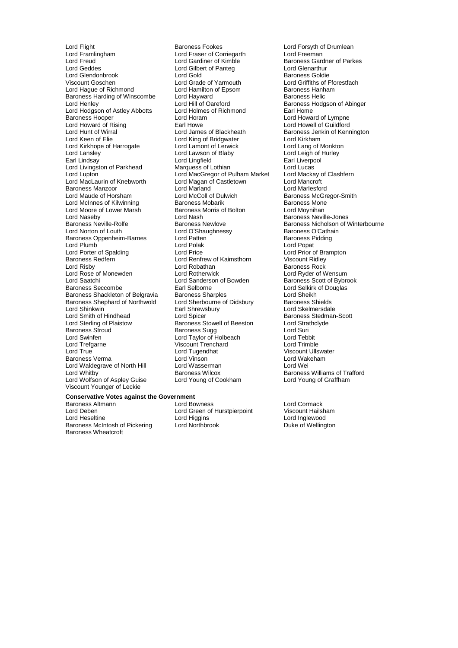Lord Flight **Baroness Fookes** Lord Forsyth of Drumlean<br>
Lord Framlingham
Lord Example Lord Fraser of Corriegarth
Lord Freeman
Lord Fraser of Corriegarth
Lord Freeman Lord Framlingham Lord Fraser of Corriegarth<br>
Lord Freud Corriegarth Lord Gardiner of Kimble Lord Glendonbrook Lord Gold Baroness Goldie Baroness Harding of Winscombe Lord Hayward<br>
Lord Helil of Oareford<br>
Lord Hill of Oareford Lord Hodgson of Astley Abbotts Lord Holmes<br>Baroness Hooper bare Lord Horam Lord Kirkhope of Harrogate Lord Lamont of Lerwic<br>
Lord Lansley Lord Lawson of Blaby Baroness Manzoor **Lord Marland**<br>
Lord Maude of Horsham **Lord McColl of Dulwich** Lord Moore of Lower Marsh Baroness I<br>Lord Nasebv Bolton Lord Nash Lord Shinkwin **Earl Shrewsbury**<br>
Lord Smith of Hindhead
Lord Spicer Lord Trefgarne Viscount Trenchard<br>
Lord True Cord Tugendhat Lord Waldegrave of North Hill Lord Wasserman Lord Whitby<br>
Baroness Wilcox Lord Wolfson of Aspley Guise Viscount Younger of Leckie

Lord Freud **Lord Gardiner of Kimble** Baroness Gardner of Parkes<br>
Lord Geddes **Lord Gulbert of Pantegular Baroness Gardner of Parkes** Lord Gilbert of Panteg Lord Glenarthur<br>
Lord Gold<br>
Baroness Goldie Viscount Goschen **Lord Crack Condensity** Lord Grade of Yarmouth Lord Griffiths of Fforestfach Lord Hamilton of Epsom **Baroness** Hanham Lord Hamilton of Epsom Baroness Hanh<br>
Lord Hayward Baroness Helic Lord Hill of Oareford **Baroness Hodgson of Abinger**<br> **Lord Holmes of Richmond** Earl Home Baroness Hooper Exercise Lord Horam Lord Horam Lord Howard of Lympne<br>
Lord Howard of Rising Earl Howe Lord Howell of Guildford Lord Howard of Rising **Earl Howe Earl Howe Lord Howell of Guildford**<br>
Lord Hunt of Wirral **No. 2008** Lord James of Blackheath **Example System** Baroness Jenkin of Kenr Lord Hunt of Wirral United States and Lord James of Blackheath Baroness Jenkin of Kennington<br>Lord Keen of Elie Cord King of Bridgwater Cord Kirkham Lord King of Bridgwater **Lord Kirkham**<br>
Lord Lamont of Lerwick **Lord Lang of Monkton** Lord Lansley Lord Lawson of Blaby Lord Lord Leigh of Hurley<br>
Lord Lingfield
Lawson of Blaby
Lord Lingfield
Lansley
Lord Lingfield
Lansley
Lord Lingfield
Lansley
Lord Lingfield
Lansley
Lord Lingfield
Lansley
Lord Lingfield Lord Lingfield **Earl Liverpool**<br>
Marquess of Lothian **Earl Lord Lucas** Lord Livingston of Parkhead Marquess of Lothian Lord Lucas<br>
Lord Lucas Lord Lucas<br>
Lord MacGregor of Pulham Market Lord Mackay of Clashfern Lord MacGregor of Pulham Market Lord Mackay of Lord Magan of Castletown Lord Mancroft Lord MacLaurin of Knebworth Lord Magan of Castletown Lord Mancroft Lord McColl of Dulwich **Baroness McGregor-Smith Baroness Mone**<br>Baroness Mobarik Baroness Mone Lord McInnes of Kilwinning **Baroness Mobarik** Baroness Mone<br>
Lord Moore of Lower Marsh Baroness Morris of Bolton **Baroness Morris** Lord Moynihan Lord Naseby Lord Nash **Baroness Neville-Jones**<br>Baroness Neville-Rolfe **Baroness Newlove** Baroness Newlove Baroness Nicholson of V Lord O'Shaughnessy **Baroness O'Cathain**<br>
Lord Patten **Communist Communist Communist Communist Communist Communist Communist Communist Communist Communist** Baroness Oppenheim-Barnes Lord Patten Theory of Baroness P<br>Lord Plumb Baroness Politic Lord Polak Lord Plumb in the Lord Polak Lord Polak Lord Polace Lord Popat Lord Popat Lord Popat Lord Price Correspondent Lord Price Correspondent Lord Price Lord Price Lord Price Lord Price Lord Price Lord Price Lord Price Lord Price Lord Porter of Spalding **Lord Price** Lord Price Lord Prior of Brampton Cord Prior of Brampton Lord Renfrew of Kaimsthorn **Cord Prior Cord Prior of Brammun**<br>
Lord Renfrew of Kaimsthorn **Cord Prior Cord Prior Cord Prior** Cor Lord Renfrew of Kaimsthorn Viscount Ridley<br>
Lord Robathan 
Baroness Rock Lord Risby Lord Robathan Baroness Rock Lord Rose of Monewden Lord Rotherwick Lord Ryder of Wensum Lord Saatchi Lord Sanderson of Bowden Baroness Scott of Bybrook<br>
Baroness Seccombe Earl Selborne Carl Selvich Lord Selkirk of Douglas Earl Selborne<br>Baroness Sharples<br>
Lord Sheikh<br>
Lord Sheikh Baroness Shackleton of Belgravia Baroness Sharples Lord Sheikh<br>Baroness Shephard of Northwold Lord Sherbourne of Didsbury Baroness Shields Baroness Shephard of Northwold Lord Sherbourne of Didsbury Baroness Shields<br>
Lord Shinkwin **Baroness** Earl Shrewsbury Lord Skelmersdale Lord Smith of Hindhead Lord Spicer Cord Steedman-Scott<br>
Lord Sterling of Plaistow Baroness Stowell of Beeston Lord Strathclyde Lord Sterling of Plaistow **Baroness Stowell of Beeston** Lord Strathcland Baroness Stowell of Beeston Lord Strathcland Baroness Sugg Baroness Stroud Earoness Sugg and Baroness Sugg Lord Suri<br>
Lord Swinfen Cord Taylor of Holbeach Lord Tebbit Lord Swinfen Lord Taylor of Holbeach Lord Tebbit Lord Tugendhat **Viscount Ullswater**<br>
Lord Vinson<br>
Lord Wakeham Baroness Verma Lord Vinson Lord Wakeham

Baroness Neville-Rolfe Baroness Newlove Baroness Network Baroness Nicholson of Winterbourne<br>
Lord Norton of Louth Lord O'Shaughnessy Baroness O'Cathain Baroness Wilcox **Baroness Williams of Trafford**<br>
Lord Young of Cookham<br>
Lord Young of Graffham

Lord Higgins **Lord Inglewood**<br>
Lord Northbrook **Lord Inglewood**<br>
Duke of Wellington

### **Conservative Votes against the Government**

Baroness Altmann **Exercise Server Alternal Corporation** Lord Bowness<br>
Lord Cormack Lord Creen of Hurstpierpoint Corporation Viscount Hailsham Lord Deben Lord Green of Hurstpierpoint<br>
Lord Heseltine Lord Higgins Baroness McIntosh of Pickering Baroness Wheatcroft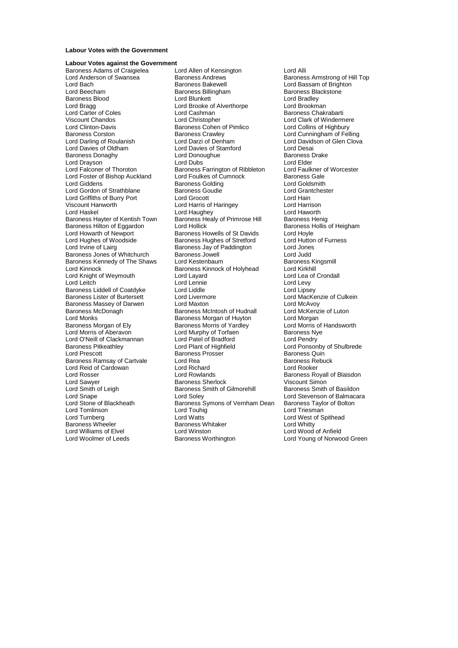#### **Labour Votes with the Government**

## **Labour Votes against the Government**

Lord Carter of Coles Lord Cashman<br>
Viscount Chandos Lord Christopher Lord Clinton-Davis **Baroness Cohen of Pimlico**<br>Baroness Corston **Baroness Crawley** Baroness Liddell of Coatdyke Lord O'Neill of Clackmannan Lord Patel of Bradford<br>Baroness Pitkeathley Lord Plant of Highfield Lord Reid of Cardowan Lord Richard Lord Rooker Lord Smith of Leigh Baroness Smith of Gilmorehill<br>
Lord Snape Baroness Smith of Gilmorehill Lord Tomlinson<br>
Lord Turnberg<br>
Lord Watts Baroness Wheeler Lord Williams of Elvel **Lord Winston** Lord Winston **Lord Winston** Lord Wood of Anfield<br>
Lord Woolmer of Leeds **Baroness Worthington** Lord Young of Norwoo

Baroness Adams of Craigielea Lord Allen of Kensington Carol Alli<br>
Lord Anderson of Swansea Baroness Andrews Carones Barones Lord Anderson of Swansea Baroness Andrews Baroness Armstrong of Hill Top<br>
Baroness Bakewell
Baroness Bakewell
Baroness Bakewell
Baroness Bakewell
Baroness Bakewell
Baroness Andrews
Baroness Bakewell
Baroness Bakewell
Baron Lord Bach Baroness Bakewell **Communist Baroness Bakewell**<br>
Lord Beecham **Baroness Billingham** Baroness Blackstone Lord Beecham Baroness Billingham Baroness Blackstone Baroness Blood **Example 2** Lord Blunkett Lord Bradley<br>
Lord Bragg **Lord Brookene Lord Brooke** of Alverthorpe Lord Brookman Lord Brooke of Alverthorpe **Lord Brookman**<br>Lord Cashman **Lord Brookman** Viscount Chandos **Viscount Chandos** Lord Christopher **Lord Clark of Windermere**<br>
Lord Clinton-Davis **Columps** Baroness Cohen of Pimlico Lord Collins of Highbury Baroness Corston Baroness Crawley Lord Cunningham of Felling<br>
Lord Darling of Roulanish Lord Darzi of Denham Lord Davidson of Glen Clova Lord Darling of Roulanish Lord Darzi of Denham Lord Davidson of Glen Clova<br>
Lord Davies of Oldham Lord Davies of Stamford Lord Desai Lord Davies of Stamford<br>
Lord Donoughue<br>
Baroness Drake Baroness Donaghy **Communist Constructs** Lord Donoughue **Baroness Baroness I**<br>
Lord Drayson **Communist Communist Communist Communist Communist Communist Communist Communist Communist Communist Communist Communist Communist** Lord Drayson **Lord Dubs** Lord Dubs **Lord Elder**<br>
Lord Falconer of Thoroton **Baroness Farrington of Ribbleton** Lord Faulkner of Worcester Baroness Farrington of Ribbleton Lord Faulkner c<br>Lord Foulkes of Cumnock Baroness Gale Lord Foster of Bishop Auckland Lord Foulkes of Cumnock Baroness Gale<br>
Lord Giddens Lord Goldsmith Baroness Golding Lord Goldsmith **Baroness Golding Community Condition**<br>
Baroness Goudie Communication Lord Grantchester Lord Gordon of Strathblane Baroness Goudie Lord Grantchester Cord Grantchester Cord Grantchester Cord Grantchester<br>
Lord Griffiths of Burry Port Lord Grocott Lord Grantchester Cord Hain Lord Griffiths of Burry Port Lord Grocott Lord Hain<br>
Lord Hannes Lord Harris of Haringey Lord Harrison<br>
Lord Harrison Viscount Hanworth Lord Harris of Haringey Lord Harrison Lord Haughey **Lord Haworth**<br>
Baroness Healy of Primrose Hill Baroness Henig Baroness Hayter of Kentish Town Baroness Healy of Primrose Hill Baroness Henig<br>Baroness Hilton of Eggardon Lord Hollick Baroness Hollis of Heigham Baroness Hilton of Eggardon Lord Hollick Baroness Howells of St Davids Baroness Hord Hoyle<br>
Lord Howarth of Newport Baroness Howells of St Davids Lord Hoyle Lord Howarth of Newport **Baroness Howells of St Davids** Lord Hoyle<br>
Lord Hughes of Woodside **Baroness Hughes of Stretford** Lord Hutton of Furness Lord Hughes of Woodside Baroness Hughes of Stretford Lord Hutton Lord Hutton Cord Furness Jay of Paddington Lord Jones Baroness Jay of Paddington Lord Jones<br>Baroness Jowell Lord Judd Baroness Jones of Whitchurch Baroness Jowell Lord Judd<br>
Baroness Kennedy of The Shaws Lord Kestenbaum Baroness Kingsmill Baroness Kennedy of The Shaws Lord Kestenbaum and Baroness Kingsmill Baroness Kingsmill Baroness Kingsmill Baroness Kinnock of Holyhead Lord Kirkhill Baroness Kinnock of Holyhead Lord Kirkhill<br>Lord Layard Lord Lea of Crondall Lord Knight of Weymouth Lord Layard<br>
Lord Leitch **Lord Lea of Cronocly Coronally Lord Lea of Cronocly Cronally Cronally Cronally Cronally** Lord Lennie<br>
Lord Liddle Lord Lipsey<br>
Lord Lipsey Baroness Lister of Burtersett Lord Livermore Corresponding Lord MacKenzie of Culkein<br>
Baroness Massey of Darwen Lord Maxton Lord MacKenzie of Culkein Baroness Massey of Darwen Lord Maxton<br>
Baroness McDonagh Caroness McIntosh of Hudnall Lord McKenzie of Luton Baroness McDonagh Baroness McIntosh of Hudnall Lord McKenz<br>
Baroness Morgan of Huvton Lord Morgan Lord Monks<br>
Baroness Morgan of Ely Baroness Morris of Yardley<br>
Baroness Morris of Andsworth Baroness Morris of Yardley<br>
Lord Morris of Handsworth Baroness Morris of Yardley Lord Morris of<br>
Lord Murphy of Torfaen Baroness Nye Lord Morris of Aberavon **Lord Murphy of Torfaen** Baroness Ny<br>
Lord O'Neill of Clackmannan Lord Patel of Bradford Lord Pendry Baroness Pitkeathley **Lord Plant of Highfield** Hight Lord Ponsonby of Shulbrede<br>
Lord Prescott **Lord Ponsonby of Shulbrede**<br>
Lord Prescott **Baroness Presser Consonance Baroness Arists Cuin** Baroness Prosser **Baroness Quin**<br>
Lord Rea **Baroness Rebuck**<br>
Baroness Rebuck Baroness Ramsay of Cartvale Lord Rea **Baroness Reformation Carty Carty**<br>
Lord Rea Baroness Rebuck<br>
Lord Rea Baroness Rebucks Lord Richard<br>
Lord Rea Baroness Republic Lord Richard Lord Rosser Lord Rowlands Baroness Royall of Blaisdon Lord Sawyer **Baroness Sherlock** Viscount Simon<br>
Lord Smith of Leigh **Baroness Smith of Gilmorehill** Baroness Smith of Basildon Lord Snape Lord Soley Lord Soley Lord Stevenson of Balmacara<br>
Lord Stevenson of Blackheath Baroness Symons of Vernham Dean Baroness Taylor of Bolton Baroness Symons of Vernham Dean Baroness Taylor Cord Touhig<br>Lord Triesman Lord Watts Lord West of Spithead<br>
Baroness Whitaker<br>
Lord Whitty

Lord Young of Norwood Green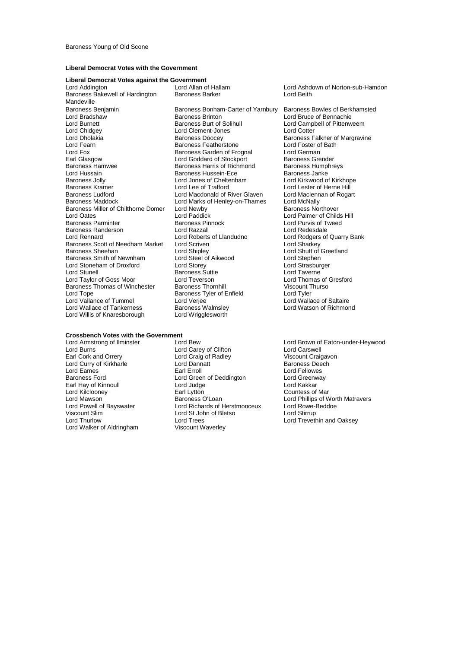#### **Liberal Democrat Votes with the Government**

#### **Liberal Democrat Votes against the Government**

Baroness Bakewell of Hardington Mandeville<br>Baroness Benjamin Baroness Benjamin Baroness Bonham-Carter of Yarnbury Baroness Bowles of Berkhamsted<br>
Lord Bradshaw Baroness Brinton Lord Bruce of Bennachie Lord Bradshaw **Baroness Brinton** Cord Bruce of Bennachie<br>
Lord Burnett **Baroness Burt of Solihull** Lord Campbell of Pittenw Lord Burnett **Baroness Burt of Solihull** Lord Campbell of Pittenweem<br>
Lord Chidgey **Collect Lord Clement-Jones** Lord Cotter Lord Chidgey Lord Clement-Jones Lord Cotter Lord Dholakia Baroness Doocey Baroness Falkner of Margravine Lord Fearn **Example 3 Exercise**<br>
Baroness Garden of Frognal<br>
Lord Fox **Baroness Garden of Frognal** Lord Fox **Baroness Garden of Frognal** Lord German<br>
Earl Glasgow **Baroness Creater** Lord Goddard of Stockport Baroness Grender Earl Glasgow **Lord Goddard of Stockport** Baroness Grender<br>
Baroness Hamwee **Baroness Harris of Richmond** Baroness Humphreys Baroness Hamwee **Baroness Harris of Richmond** Baroness Humphreys Harris of Richmond Baroness Humphreys and Baroness Janke Lord Hussain **Baroness Hussein-Ece Baroness Hussein-Ece** Baroness Jolly **Baroness** Jolly Baroness Jolly **Lord Jones of Cheltenham** Cord Kirkwood of Kirkhope<br>Baroness Kramer **Lord Lord Lee of Trafford** Cord Lord Lester of Herne Hill Baroness Kramer **Example 2** Lord Lee of Trafford **Lord Lester of Herne Hill**<br>Baroness Ludford **Connect Lord Macdonald of River Glaven** Lord Maclennan of Rogart Baroness Ludford **Lord Lord Macdonald of River Glaven** Lord Maclenn<br>Baroness Maddock **Lord Mac Lord Maclennan of Rogart Cord Acc**ess Lord McNally Baroness Miller of Chilthorne Domer<br>
Lord Newby<br>
Lord Oates
Baroness<br>
Lord Paddick Lord Oates Lord Paddick Lord Palmer of Childs Hill Baroness Randerson **Lord Razzall**<br> **Cord Rennard** Lord Roberts of Llandudno Baroness Scott of Needham Market Lord Scriven<br>Baroness Sheehan **Lord Shipley** Baroness Smith of Newnham Lord Steel of Aikwood Lord Stephen<br>
Lord Stoneham of Droxford Lord Storey Lord Stoneham of Droxford Lord Storey Lord Strasburger Lord Stoneham of Droxford Lord Storey Lord Storey Lord Strasburger Cord Strasburger<br>
Lord Stunell Cord Taverne Lord Taylor of Goss Moor<br>Baroness Thomas of Winchester Baroness Thomhill Baroness Thomas of Winchester Baroness Thornhill Viscount Thurso<br>
Lord Tope Corol Baroness Tyler of Enfield Lord Tyler Lord Vallance of Tummel Lord Verjee Corp. Lord Versies Lord Wallace of Saltaire<br>
Lord Wallace of Tankerness Corp. Baroness Walmsley Lord Watson of Richmond Lord Wallace of Tankerness Baroness Walmsley<br>
Lord Willis of Knaresborough Lord Wrigglesworth Lord Willis of Knaresborough

Lord Marks of Henley-on-Thames Lord McNally<br>Lord Newby Baroness Northover Baroness Pinnock Lord Purvis of Tweed<br>
Lord Razzall<br>
Lord Redesdale Lord Roberts of Llandudno<br>
Lord Scriven<br>
Lord Sharkey Lord Shipley<br>
Lord Steel of Aikwood<br>
Lord Stephen<br>
Lord Stephen Baroness Suttie **Lord Taverne**<br>
Lord Teverson **Lord Thomas of Gresford** Baroness Tyler of Enfield **Lord Tyler**<br>
Lord Veriee **Lord Wallace of Saltaire** 

#### **Crossbench Votes with the Government**<br>Lord Armstrong of Ilminster Lord Bew

Lord Kilclooney Earl Lytton Countess of Mar Viscount Slim Lord St John of Bletso<br>
Lord Thurlow Lord Trees Lord Walker of Aldringham

Lord Burns **Lord Carey of Clifton**<br>
Lord Carey of Clifton Lord Carey of Clifton Lord Craige Corpus Corpus Craigavon<br>
Lord Craig of Radley Clifton Craigavon Lord Craig of Radley **Viscount Craigav**<br>
Lord Dannatt **Craig of Radley Craigav**<br>
Baroness Deech Lord Curry of Kirkharle **Lord Dannatt** Cord Dannatt Cord Curry of Kirkharle Lord Eellowes<br>Lord Fames **Barones** Earl Erroll Lord Eames **Earl Erroll** Earl Erroll **Constanting Constanting Constanting Constanting Constanting Constanting Constanting Constanting Constanting Constanting Constanting Constanting Constanting Constanting Constanting Cons** Baroness Ford **Carolic Communist Control** Lord Green of Deddington Cord Greenway<br>
Lord Kakkar<br>
Lord Kakkar Earl Hay of Kinnoull **Earl Lord Judge Communist Communist** Lord Kakkar<br>Lord Kilclooney **Lord Karl Lord Lord Karl Lytton** Countess of Mar Lord Powell of Bayswater Lord Richards of Herstmonceux Lord Rowe-<br>
Lord Rowe-Lord St John of Bletso Lord Stirrup<br>
Lord Stirrup Lord Trees<br>
Lord Trevethin and Oaksey<br>
Viscount Waverley

Lord Allan of Hallam Lord Ashdown of Norton-sub-Hamdon<br>
Baroness Barker Cord Beith

Lord Armstrong of Ilminster Lord Bew Lord Brown of Eaton-under-Heywood<br>
Lord Burns
Lord Brown Carey of Clifton
Lord Carswell
Lord Burns
Lord Burns
Lord Burns
Lord Burns
Lord Burns
Lord Burns
Lord Burns
Lord Burns
Lord Burn Lord Mawson Baroness O'Loan Lord Phillips of Worth Matravers